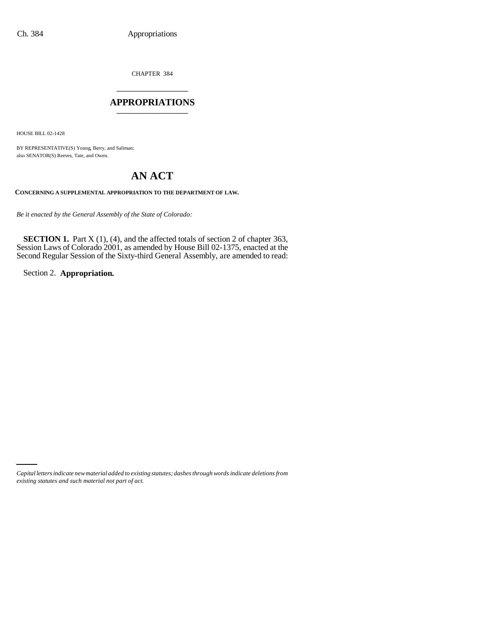CHAPTER 384 \_\_\_\_\_\_\_\_\_\_\_\_\_\_\_

## **APPROPRIATIONS** \_\_\_\_\_\_\_\_\_\_\_\_\_\_\_

HOUSE BILL 02-1428

BY REPRESENTATIVE(S) Young, Berry, and Saliman; also SENATOR(S) Reeves, Tate, and Owen.

# **AN ACT**

## **CONCERNING A SUPPLEMENTAL APPROPRIATION TO THE DEPARTMENT OF LAW.**

*Be it enacted by the General Assembly of the State of Colorado:*

**SECTION 1.** Part X (1), (4), and the affected totals of section 2 of chapter 363, Session Laws of Colorado 2001, as amended by House Bill 02-1375, enacted at the Second Regular Session of the Sixty-third General Assembly, are amended to read:

Section 2. **Appropriation.**

*Capital letters indicate new material added to existing statutes; dashes through words indicate deletions from existing statutes and such material not part of act.*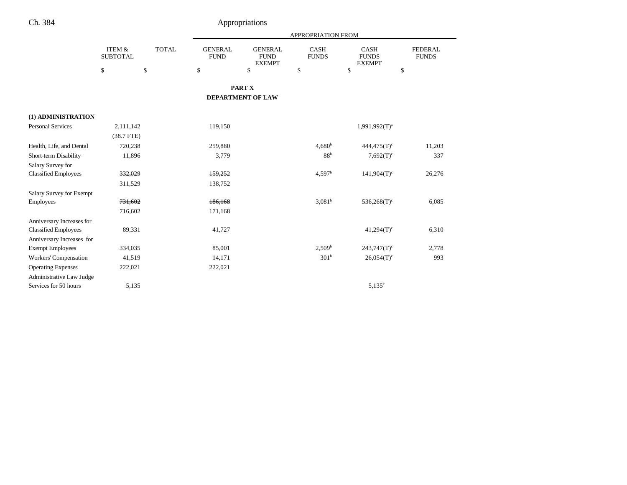|                                 |                                      |              | APPROPRIATION FROM            |                                                |                             |                                              |                                |  |
|---------------------------------|--------------------------------------|--------------|-------------------------------|------------------------------------------------|-----------------------------|----------------------------------------------|--------------------------------|--|
|                                 | <b>ITEM &amp;</b><br><b>SUBTOTAL</b> | <b>TOTAL</b> | <b>GENERAL</b><br><b>FUND</b> | <b>GENERAL</b><br><b>FUND</b><br><b>EXEMPT</b> | <b>CASH</b><br><b>FUNDS</b> | <b>CASH</b><br><b>FUNDS</b><br><b>EXEMPT</b> | <b>FEDERAL</b><br><b>FUNDS</b> |  |
|                                 | \$                                   | \$           | \$                            | \$                                             | \$                          | $\mathbf S$                                  | \$                             |  |
|                                 |                                      |              |                               | PART X                                         |                             |                                              |                                |  |
|                                 |                                      |              |                               | <b>DEPARTMENT OF LAW</b>                       |                             |                                              |                                |  |
| (1) ADMINISTRATION              |                                      |              |                               |                                                |                             |                                              |                                |  |
| <b>Personal Services</b>        | 2,111,142                            |              | 119,150                       |                                                |                             | $1,991,992(T)^{a}$                           |                                |  |
|                                 | $(38.7$ FTE)                         |              |                               |                                                |                             |                                              |                                |  |
| Health, Life, and Dental        | 720,238                              |              | 259,880                       |                                                | $4,680^{\rm b}$             | $444,475(T)$ <sup>c</sup>                    | 11,203                         |  |
| Short-term Disability           | 11,896                               |              | 3,779                         |                                                | 88 <sup>b</sup>             | $7,692(T)^c$                                 | 337                            |  |
| Salary Survey for               |                                      |              |                               |                                                |                             |                                              |                                |  |
| <b>Classified Employees</b>     | 332,029                              |              | 159,252                       |                                                | 4.597 <sup>b</sup>          | $141,904(T)$ <sup>c</sup>                    | 26,276                         |  |
|                                 | 311,529                              |              | 138,752                       |                                                |                             |                                              |                                |  |
| <b>Salary Survey for Exempt</b> |                                      |              |                               |                                                |                             |                                              |                                |  |
| Employees                       | 731,602                              |              | 186,168                       |                                                | 3,081 <sup>b</sup>          | $536,268(T)$ <sup>c</sup>                    | 6,085                          |  |
|                                 | 716,602                              |              | 171,168                       |                                                |                             |                                              |                                |  |
| Anniversary Increases for       |                                      |              |                               |                                                |                             |                                              |                                |  |
| <b>Classified Employees</b>     | 89,331                               |              | 41,727                        |                                                |                             | $41,294(T)$ <sup>c</sup>                     | 6,310                          |  |
| Anniversary Increases for       |                                      |              |                               |                                                |                             |                                              |                                |  |
| <b>Exempt Employees</b>         | 334,035                              |              | 85,001                        |                                                | 2,509 <sup>b</sup>          | $243,747(T)$ <sup>c</sup>                    | 2,778                          |  |
| Workers' Compensation           | 41,519                               |              | 14,171                        |                                                | 301 <sup>b</sup>            | $26,054(T)$ <sup>c</sup>                     | 993                            |  |
| <b>Operating Expenses</b>       | 222,021                              |              | 222,021                       |                                                |                             |                                              |                                |  |
| Administrative Law Judge        |                                      |              |                               |                                                |                             |                                              |                                |  |
| Services for 50 hours           | 5,135                                |              |                               |                                                |                             | $5,135^{\circ}$                              |                                |  |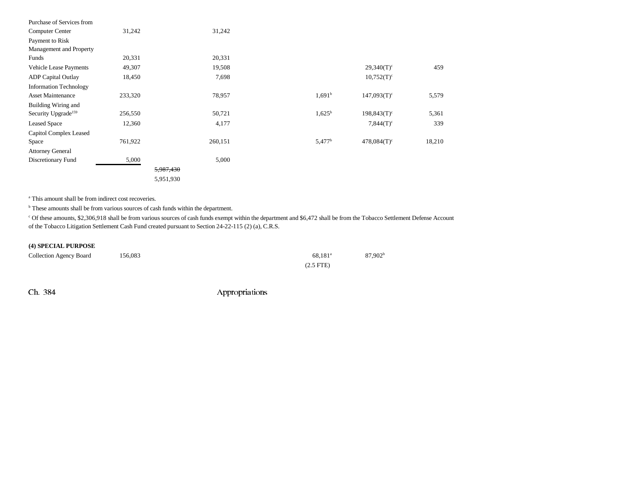| 31,242  | 31,242  |                        |                           |        |
|---------|---------|------------------------|---------------------------|--------|
|         |         |                        |                           |        |
|         |         |                        |                           |        |
| 20,331  | 20,331  |                        |                           |        |
| 49,307  | 19,508  |                        | $29,340(T)$ <sup>c</sup>  | 459    |
| 18,450  | 7,698   |                        | $10,752(T)^c$             |        |
|         |         |                        |                           |        |
| 233,320 | 78,957  | $1,691^b$              | $147,093(T)$ <sup>c</sup> | 5,579  |
|         |         |                        |                           |        |
| 256,550 | 50,721  | $1,625^{\rm b}$        | $198,843(T)^c$            | 5,361  |
| 12,360  | 4,177   |                        | $7,844(T)^c$              | 339    |
|         |         |                        |                           |        |
| 761,922 | 260,151 | 5,477 <sup>b</sup>     | $478,084(T)$ <sup>c</sup> | 18,210 |
|         |         |                        |                           |        |
| 5,000   | 5,000   |                        |                           |        |
|         |         |                        |                           |        |
|         |         |                        |                           |        |
|         |         | 5,987,430<br>5,951,930 |                           |        |

<sup>a</sup> This amount shall be from indirect cost recoveries.

<sup>b</sup> These amounts shall be from various sources of cash funds within the department.

c Of these amounts, \$2,306,918 shall be from various sources of cash funds exempt within the department and \$6,472 shall be from the Tobacco Settlement Defense Account of the Tobacco Litigation Settlement Cash Fund created pursuant to Section 24-22-115 (2) (a), C.R.S.

### **(4) SPECIAL PURPOSE**

| Collection Agency Board | 156,083 | 68.181 <sup>a</sup> | 87,902 <sup>b</sup> |
|-------------------------|---------|---------------------|---------------------|
|                         |         | $(2.5$ FTE)         |                     |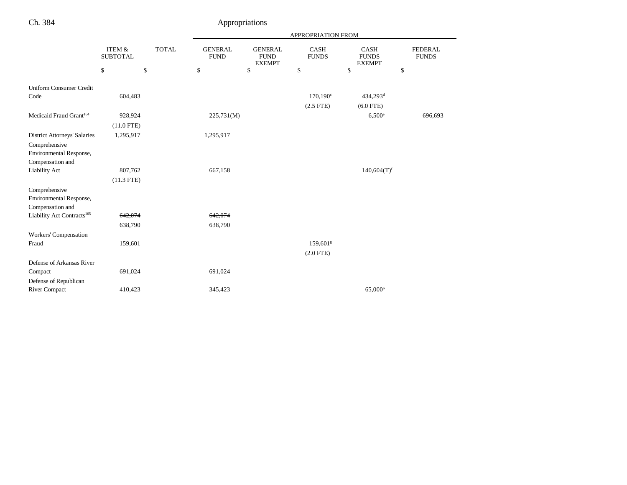| Ch. 384                                                      |                           |                    |                               | Appropriations                                 |                             |                                       |                                |
|--------------------------------------------------------------|---------------------------|--------------------|-------------------------------|------------------------------------------------|-----------------------------|---------------------------------------|--------------------------------|
|                                                              |                           | APPROPRIATION FROM |                               |                                                |                             |                                       |                                |
|                                                              | ITEM &<br><b>SUBTOTAL</b> | <b>TOTAL</b>       | <b>GENERAL</b><br><b>FUND</b> | <b>GENERAL</b><br><b>FUND</b><br><b>EXEMPT</b> | <b>CASH</b><br><b>FUNDS</b> | CASH<br><b>FUNDS</b><br><b>EXEMPT</b> | <b>FEDERAL</b><br><b>FUNDS</b> |
|                                                              | \$                        | \$                 | \$                            | \$                                             | \$                          | \$                                    | \$                             |
| <b>Uniform Consumer Credit</b>                               |                           |                    |                               |                                                |                             |                                       |                                |
| Code                                                         | 604,483                   |                    |                               |                                                | $170,190^{\circ}$           | 434,293 <sup>d</sup>                  |                                |
|                                                              |                           |                    |                               |                                                | $(2.5$ FTE)                 | $(6.0$ FTE)                           |                                |
| Medicaid Fraud Grant <sup>164</sup>                          | 928,924                   |                    | 225,731(M)                    |                                                |                             | $6,500^{\circ}$                       | 696,693                        |
|                                                              | $(11.0$ FTE)              |                    |                               |                                                |                             |                                       |                                |
| <b>District Attorneys' Salaries</b>                          | 1,295,917                 |                    | 1,295,917                     |                                                |                             |                                       |                                |
| Comprehensive<br>Environmental Response,<br>Compensation and |                           |                    |                               |                                                |                             |                                       |                                |
| Liability Act                                                | 807,762                   |                    | 667,158                       |                                                |                             | $140,604(T)$ <sup>f</sup>             |                                |
|                                                              | $(11.3$ FTE)              |                    |                               |                                                |                             |                                       |                                |
| Comprehensive<br>Environmental Response,<br>Compensation and |                           |                    |                               |                                                |                             |                                       |                                |
| Liability Act Contracts <sup>165</sup>                       | 642,074                   |                    | 642,074                       |                                                |                             |                                       |                                |
|                                                              | 638,790                   |                    | 638,790                       |                                                |                             |                                       |                                |
| Workers' Compensation                                        |                           |                    |                               |                                                |                             |                                       |                                |
| Fraud                                                        | 159,601                   |                    |                               |                                                | 159,601 <sup>g</sup>        |                                       |                                |
|                                                              |                           |                    |                               |                                                | $(2.0$ FTE)                 |                                       |                                |
| Defense of Arkansas River                                    |                           |                    |                               |                                                |                             |                                       |                                |
| Compact                                                      | 691,024                   |                    | 691,024                       |                                                |                             |                                       |                                |
| Defense of Republican                                        |                           |                    |                               |                                                |                             |                                       |                                |
| <b>River Compact</b>                                         | 410,423                   |                    | 345,423                       |                                                |                             | 65,000°                               |                                |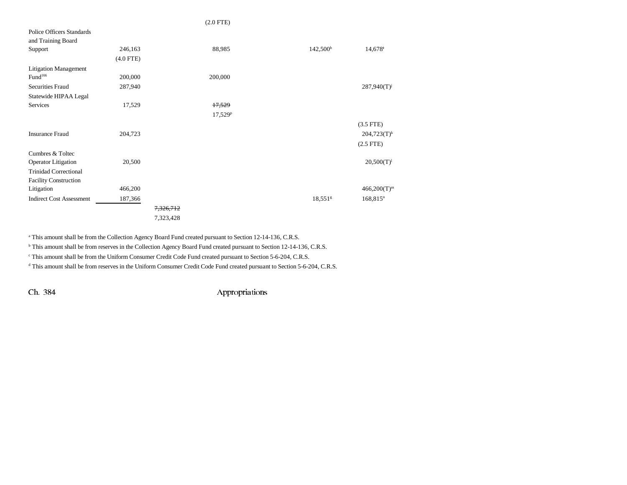|                                  |             |           | $(2.0$ FTE $)$ |                       |                        |
|----------------------------------|-------------|-----------|----------------|-----------------------|------------------------|
| <b>Police Officers Standards</b> |             |           |                |                       |                        |
| and Training Board               |             |           |                |                       |                        |
| Support                          | 246,163     |           | 88,985         | 142,500 <sup>h</sup>  | 14,678                 |
|                                  | $(4.0$ FTE) |           |                |                       |                        |
| <b>Litigation Management</b>     |             |           |                |                       |                        |
| Fund <sup>166</sup>              | 200,000     |           | 200,000        |                       |                        |
| Securities Fraud                 | 287,940     |           |                |                       | $287,940(T)^{j}$       |
| Statewide HIPAA Legal            |             |           |                |                       |                        |
| Services                         | 17,529      |           | 17,529         |                       |                        |
|                                  |             |           | $17,529^p$     |                       |                        |
|                                  |             |           |                |                       | $(3.5$ FTE)            |
| <b>Insurance Fraud</b>           | 204,723     |           |                |                       | $204,723(T)^k$         |
|                                  |             |           |                |                       | $(2.5$ FTE $)$         |
| Cumbres & Toltec                 |             |           |                |                       |                        |
| <b>Operator Litigation</b>       | 20,500      |           |                |                       | $20,500(T)^{1}$        |
| <b>Trinidad Correctional</b>     |             |           |                |                       |                        |
| <b>Facility Construction</b>     |             |           |                |                       |                        |
| Litigation                       | 466,200     |           |                |                       | $466,200(T)^m$         |
| <b>Indirect Cost Assessment</b>  | 187,366     |           |                | $18,551$ <sup>g</sup> | $168,815$ <sup>n</sup> |
|                                  |             | 7,326,712 |                |                       |                        |
|                                  |             | 7,323,428 |                |                       |                        |

<sup>a</sup> This amount shall be from the Collection Agency Board Fund created pursuant to Section 12-14-136, C.R.S.

<sup>b</sup> This amount shall be from reserves in the Collection Agency Board Fund created pursuant to Section 12-14-136, C.R.S.

c This amount shall be from the Uniform Consumer Credit Code Fund created pursuant to Section 5-6-204, C.R.S.

<sup>d</sup> This amount shall be from reserves in the Uniform Consumer Credit Code Fund created pursuant to Section 5-6-204, C.R.S.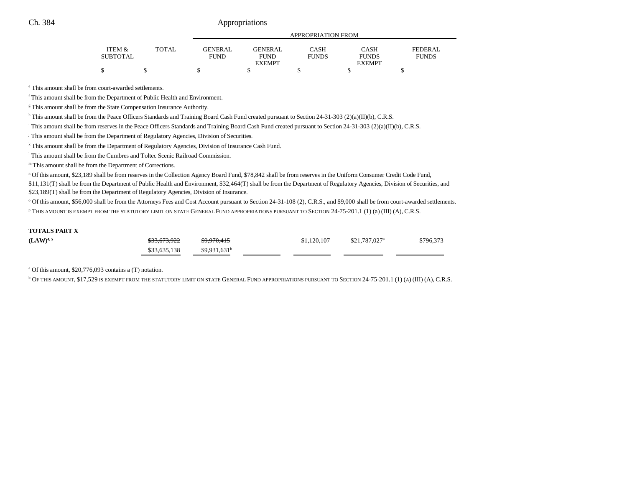## Ch. 384 Appropriations

|                 |       |             | APPROPRIATION FROM |              |               |              |  |  |
|-----------------|-------|-------------|--------------------|--------------|---------------|--------------|--|--|
| ITEM &          | TOTAL | GENERAL     | GENERAL            | CASH         | CASH          | FEDERAL      |  |  |
| <b>SUBTOTAL</b> |       | <b>FUND</b> | <b>FUND</b>        | <b>FUNDS</b> | <b>FUNDS</b>  | <b>FUNDS</b> |  |  |
|                 |       |             | <b>EXEMPT</b>      |              | <b>EXEMPT</b> |              |  |  |
| \$              |       |             |                    |              |               |              |  |  |

e This amount shall be from court-awarded settlements.

f This amount shall be from the Department of Public Health and Environment.

<sup>g</sup> This amount shall be from the State Compensation Insurance Authority.

h This amount shall be from the Peace Officers Standards and Training Board Cash Fund created pursuant to Section 24-31-303 (2)(a)(II)(b), C.R.S.

<sup>i</sup> This amount shall be from reserves in the Peace Officers Standards and Training Board Cash Fund created pursuant to Section 24-31-303 (2)(a)(II)(b), C.R.S.

<sup>j</sup> This amount shall be from the Department of Regulatory Agencies, Division of Securities.

<sup>k</sup> This amount shall be from the Department of Regulatory Agencies, Division of Insurance Cash Fund.

l This amount shall be from the Cumbres and Toltec Scenic Railroad Commission.

m This amount shall be from the Department of Corrections.

n Of this amount, \$23,189 shall be from reserves in the Collection Agency Board Fund, \$78,842 shall be from reserves in the Uniform Consumer Credit Code Fund,

\$11,131(T) shall be from the Department of Public Health and Environment, \$32,464(T) shall be from the Department of Regulatory Agencies, Division of Securities, and \$23,189(T) shall be from the Department of Regulatory Agencies, Division of Insurance.

<sup>o</sup> Of this amount, \$56,000 shall be from the Attorneys Fees and Cost Account pursuant to Section 24-31-108 (2), C.R.S., and \$9,000 shall be from court-awarded settlements. p THIS AMOUNT IS EXEMPT FROM THE STATUTORY LIMIT ON STATE GENERAL FUND APPROPRIATIONS PURSUANT TO SECTION 24-75-201.1 (1) (a) (III) (A), C.R.S.

#### **TOTALS PART X**

| $(LAW)^{4,5}$ | \$33,673,922 | \$9,970,415               | \$1,120,107 | \$21,787,027 <sup>a</sup> | \$796,373 |
|---------------|--------------|---------------------------|-------------|---------------------------|-----------|
|               | \$33,635,138 | $$9,931,631$ <sup>b</sup> |             |                           |           |

a Of this amount, \$20,776,093 contains a (T) notation.

b OF THIS AMOUNT, \$17,529 IS EXEMPT FROM THE STATUTORY LIMIT ON STATE GENERAL FUND APPROPRIATIONS PURSUANT TO SECTION 24-75-201.1 (1) (A) (III) (A), C.R.S.